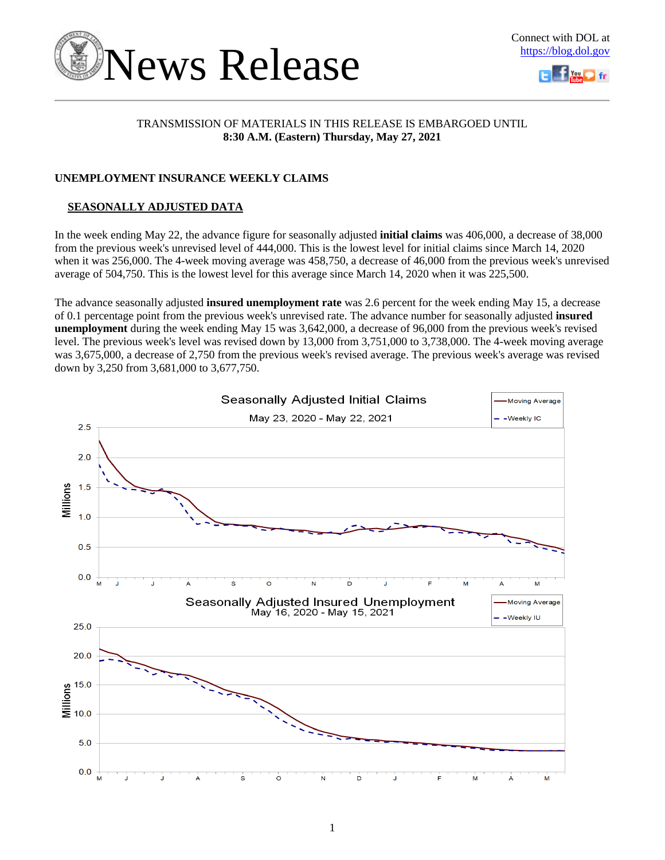



### TRANSMISSION OF MATERIALS IN THIS RELEASE IS EMBARGOED UNTIL **8:30 A.M. (Eastern) Thursday, May 27, 2021**

### **UNEMPLOYMENT INSURANCE WEEKLY CLAIMS**

## **SEASONALLY ADJUSTED DATA**

In the week ending May 22, the advance figure for seasonally adjusted **initial claims** was 406,000, a decrease of 38,000 from the previous week's unrevised level of 444,000. This is the lowest level for initial claims since March 14, 2020 when it was 256,000. The 4-week moving average was 458,750, a decrease of 46,000 from the previous week's unrevised average of 504,750. This is the lowest level for this average since March 14, 2020 when it was 225,500.

The advance seasonally adjusted **insured unemployment rate** was 2.6 percent for the week ending May 15, a decrease of 0.1 percentage point from the previous week's unrevised rate. The advance number for seasonally adjusted **insured unemployment** during the week ending May 15 was 3,642,000, a decrease of 96,000 from the previous week's revised level. The previous week's level was revised down by 13,000 from 3,751,000 to 3,738,000. The 4-week moving average was 3,675,000, a decrease of 2,750 from the previous week's revised average. The previous week's average was revised down by 3,250 from 3,681,000 to 3,677,750.

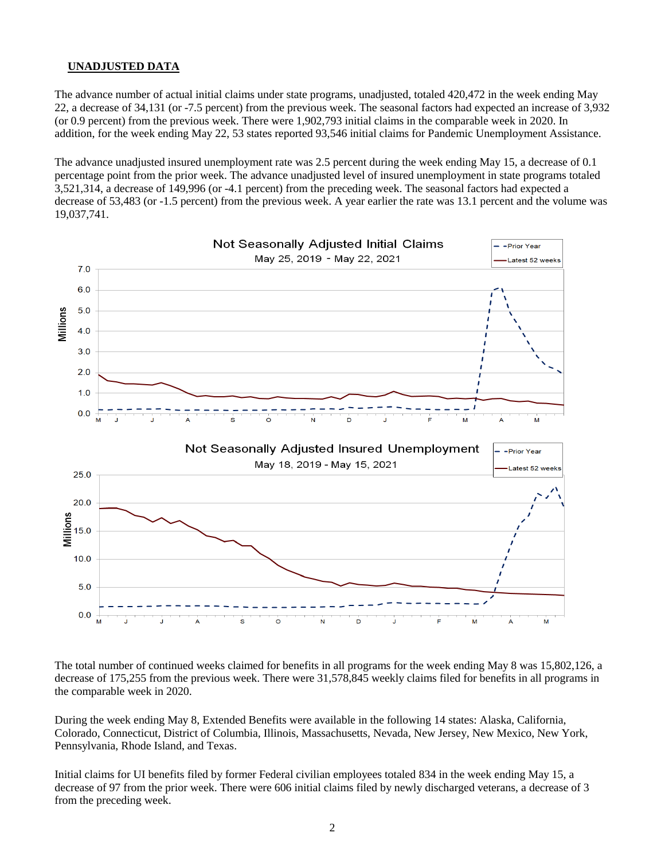### **UNADJUSTED DATA**

The advance number of actual initial claims under state programs, unadjusted, totaled 420,472 in the week ending May 22, a decrease of 34,131 (or -7.5 percent) from the previous week. The seasonal factors had expected an increase of 3,932 (or 0.9 percent) from the previous week. There were 1,902,793 initial claims in the comparable week in 2020. In addition, for the week ending May 22, 53 states reported 93,546 initial claims for Pandemic Unemployment Assistance.

The advance unadjusted insured unemployment rate was 2.5 percent during the week ending May 15, a decrease of 0.1 percentage point from the prior week. The advance unadjusted level of insured unemployment in state programs totaled 3,521,314, a decrease of 149,996 (or -4.1 percent) from the preceding week. The seasonal factors had expected a decrease of 53,483 (or -1.5 percent) from the previous week. A year earlier the rate was 13.1 percent and the volume was 19,037,741.



The total number of continued weeks claimed for benefits in all programs for the week ending May 8 was 15,802,126, a decrease of 175,255 from the previous week. There were 31,578,845 weekly claims filed for benefits in all programs in the comparable week in 2020.

During the week ending May 8, Extended Benefits were available in the following 14 states: Alaska, California, Colorado, Connecticut, District of Columbia, Illinois, Massachusetts, Nevada, New Jersey, New Mexico, New York, Pennsylvania, Rhode Island, and Texas.

Initial claims for UI benefits filed by former Federal civilian employees totaled 834 in the week ending May 15, a decrease of 97 from the prior week. There were 606 initial claims filed by newly discharged veterans, a decrease of 3 from the preceding week.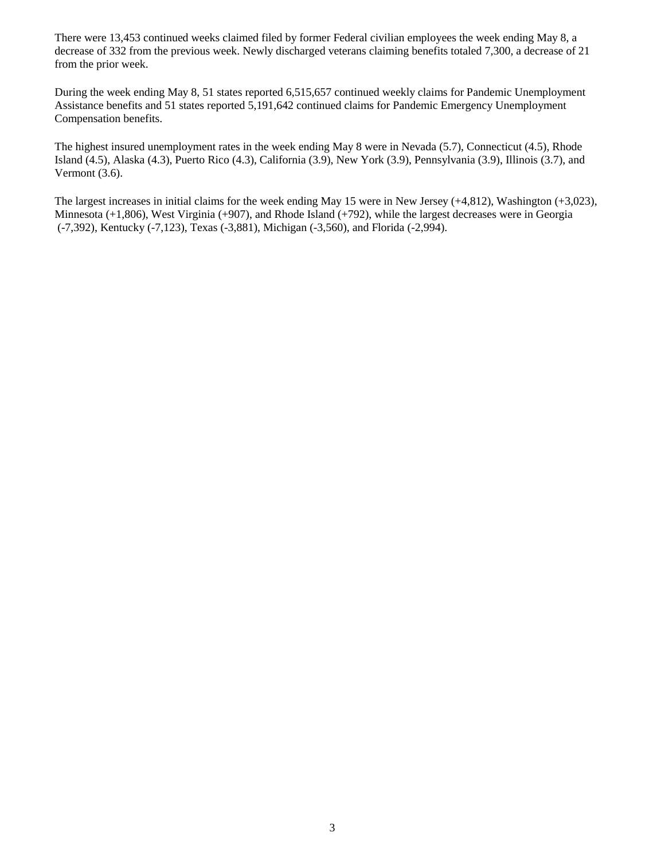There were 13,453 continued weeks claimed filed by former Federal civilian employees the week ending May 8, a decrease of 332 from the previous week. Newly discharged veterans claiming benefits totaled 7,300, a decrease of 21 from the prior week.

During the week ending May 8, 51 states reported 6,515,657 continued weekly claims for Pandemic Unemployment Assistance benefits and 51 states reported 5,191,642 continued claims for Pandemic Emergency Unemployment Compensation benefits.

The highest insured unemployment rates in the week ending May 8 were in Nevada (5.7), Connecticut (4.5), Rhode Island (4.5), Alaska (4.3), Puerto Rico (4.3), California (3.9), New York (3.9), Pennsylvania (3.9), Illinois (3.7), and Vermont (3.6).

The largest increases in initial claims for the week ending May 15 were in New Jersey (+4,812), Washington (+3,023), Minnesota (+1,806), West Virginia (+907), and Rhode Island (+792), while the largest decreases were in Georgia (-7,392), Kentucky (-7,123), Texas (-3,881), Michigan (-3,560), and Florida (-2,994).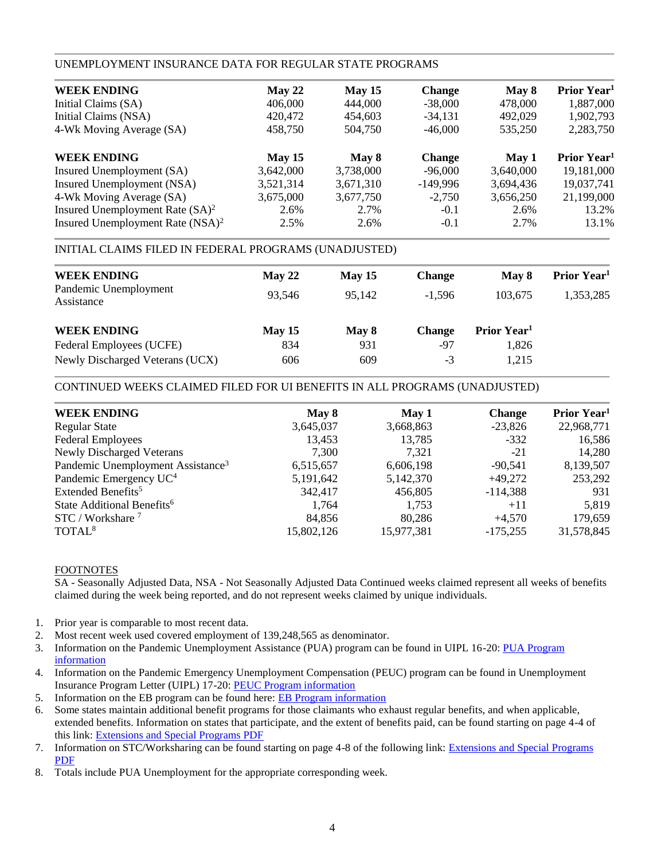### UNEMPLOYMENT INSURANCE DATA FOR REGULAR STATE PROGRAMS

| <b>WEEK ENDING</b>                  | May 22    | May 15    | <b>Change</b> | May 8     | Prior Year <sup>1</sup> |
|-------------------------------------|-----------|-----------|---------------|-----------|-------------------------|
| Initial Claims (SA)                 | 406,000   | 444,000   | $-38,000$     | 478,000   | 1,887,000               |
| Initial Claims (NSA)                | 420,472   | 454,603   | $-34,131$     | 492,029   | 1,902,793               |
| 4-Wk Moving Average (SA)            | 458,750   | 504,750   | $-46,000$     | 535,250   | 2,283,750               |
| <b>WEEK ENDING</b>                  | May 15    | May 8     | <b>Change</b> | May 1     | Prior Year <sup>1</sup> |
| Insured Unemployment (SA)           | 3,642,000 | 3,738,000 | $-96,000$     | 3,640,000 | 19,181,000              |
| Insured Unemployment (NSA)          | 3,521,314 | 3,671,310 | $-149,996$    | 3,694,436 | 19,037,741              |
| 4-Wk Moving Average (SA)            | 3,675,000 | 3,677,750 | $-2,750$      | 3,656,250 | 21,199,000              |
| Insured Unemployment Rate $(SA)^2$  | 2.6%      | 2.7%      | $-0.1$        | 2.6%      | 13.2%                   |
| Insured Unemployment Rate $(NSA)^2$ | 2.5%      | 2.6%      | $-0.1$        | 2.7%      | 13.1%                   |
|                                     |           |           |               |           |                         |

### INITIAL CLAIMS FILED IN FEDERAL PROGRAMS (UNADJUSTED)

| <b>WEEK ENDING</b>                  | May 22 | May $15$ | <b>Change</b> | May 8                   | Prior Year <sup>1</sup> |
|-------------------------------------|--------|----------|---------------|-------------------------|-------------------------|
| Pandemic Unemployment<br>Assistance | 93.546 | 95.142   | $-1.596$      | 103.675                 | 1,353,285               |
| <b>WEEK ENDING</b>                  | May 15 | May 8    | <b>Change</b> | Prior Year <sup>1</sup> |                         |
| Federal Employees (UCFE)            | 834    | 931      | -97           | 1,826                   |                         |
| Newly Discharged Veterans (UCX)     | 606    | 609      | -3            | 1,215                   |                         |

### CONTINUED WEEKS CLAIMED FILED FOR UI BENEFITS IN ALL PROGRAMS (UNADJUSTED)

| <b>WEEK ENDING</b>                            | May 8       | May 1      | <b>Change</b> | Prior Year <sup>1</sup> |
|-----------------------------------------------|-------------|------------|---------------|-------------------------|
| <b>Regular State</b>                          | 3,645,037   | 3,668,863  | $-23,826$     | 22,968,771              |
| <b>Federal Employees</b>                      | 13,453      | 13,785     | $-332$        | 16,586                  |
| <b>Newly Discharged Veterans</b>              | 7,300       | 7,321      | $-21$         | 14,280                  |
| Pandemic Unemployment Assistance <sup>3</sup> | 6,515,657   | 6,606,198  | $-90.541$     | 8,139,507               |
| Pandemic Emergency UC <sup>4</sup>            | 5, 191, 642 | 5,142,370  | $+49.272$     | 253,292                 |
| Extended Benefits <sup>5</sup>                | 342,417     | 456,805    | $-114,388$    | 931                     |
| State Additional Benefits <sup>6</sup>        | 1.764       | 1,753      | $+11$         | 5,819                   |
| STC / Workshare <sup>7</sup>                  | 84.856      | 80,286     | $+4.570$      | 179,659                 |
| TOTAL <sup>8</sup>                            | 15,802,126  | 15,977,381 | $-175,255$    | 31,578,845              |
|                                               |             |            |               |                         |

### FOOTNOTES

SA - Seasonally Adjusted Data, NSA - Not Seasonally Adjusted Data Continued weeks claimed represent all weeks of benefits claimed during the week being reported, and do not represent weeks claimed by unique individuals.

- 1. Prior year is comparable to most recent data.
- 2. Most recent week used covered employment of 139,248,565 as denominator.
- 3. Information on the Pandemic Unemployment Assistance (PUA) program can be found in UIPL 16-20: [PUA Program](https://wdr.doleta.gov/directives/corr_doc.cfm?DOCN=4628)  [information](https://wdr.doleta.gov/directives/corr_doc.cfm?DOCN=4628)
- 4. Information on the Pandemic Emergency Unemployment Compensation (PEUC) program can be found in Unemployment Insurance Program Letter (UIPL) 17-20: [PEUC Program information](https://wdr.doleta.gov/directives/corr_doc.cfm?DOCN=8452)
- 5. Information on the EB program can be found here: **EB Program information**
- 6. Some states maintain additional benefit programs for those claimants who exhaust regular benefits, and when applicable, extended benefits. Information on states that participate, and the extent of benefits paid, can be found starting on page 4-4 of this link: [Extensions and Special Programs PDF](https://oui.doleta.gov/unemploy/pdf/uilawcompar/2020/special.pdf#page=4)
- 7. Information on STC/Worksharing can be found starting on page 4-8 of the following link: [Extensions and Special Programs](https://oui.doleta.gov/unemploy/pdf/uilawcompar/2019/special.pdf#page=8)  [PDF](https://oui.doleta.gov/unemploy/pdf/uilawcompar/2019/special.pdf#page=8)
- 8. Totals include PUA Unemployment for the appropriate corresponding week.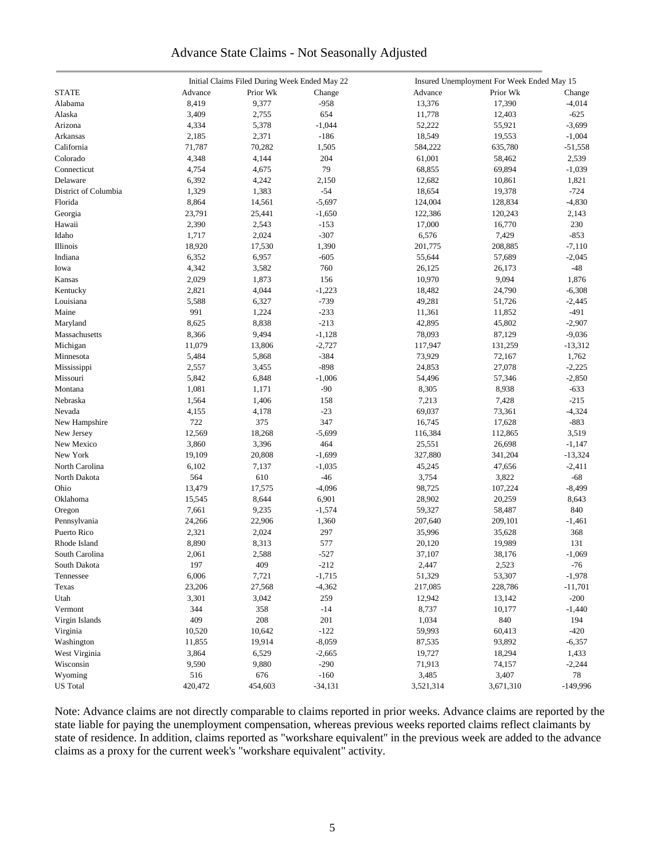# Advance State Claims - Not Seasonally Adjusted

|                      |         | Initial Claims Filed During Week Ended May 22 |           |           | Insured Unemployment For Week Ended May 15 |            |
|----------------------|---------|-----------------------------------------------|-----------|-----------|--------------------------------------------|------------|
| <b>STATE</b>         | Advance | Prior Wk                                      | Change    | Advance   | Prior Wk                                   | Change     |
| Alabama              | 8,419   | 9,377                                         | $-958$    | 13,376    | 17,390                                     | $-4,014$   |
| Alaska               | 3,409   | 2,755                                         | 654       | 11,778    | 12,403                                     | $-625$     |
| Arizona              | 4,334   | 5,378                                         | $-1,044$  | 52,222    | 55,921                                     | $-3,699$   |
| Arkansas             | 2,185   | 2,371                                         | $-186$    | 18,549    | 19,553                                     | $-1,004$   |
| California           | 71,787  | 70,282                                        | 1,505     | 584,222   | 635,780                                    | $-51,558$  |
| Colorado             | 4,348   | 4,144                                         | 204       | 61,001    | 58,462                                     | 2,539      |
| Connecticut          | 4,754   | 4,675                                         | 79        | 68,855    | 69,894                                     | $-1,039$   |
| Delaware             | 6,392   | 4,242                                         | 2,150     | 12,682    | 10,861                                     | 1,821      |
| District of Columbia | 1,329   | 1,383                                         | $-54$     | 18,654    | 19,378                                     | $-724$     |
| Florida              | 8,864   | 14,561                                        | $-5,697$  | 124,004   | 128,834                                    | $-4,830$   |
| Georgia              | 23,791  | 25,441                                        | $-1,650$  | 122,386   | 120,243                                    | 2,143      |
| Hawaii               | 2,390   | 2,543                                         | $-153$    | 17,000    | 16,770                                     | 230        |
|                      |         |                                               | $-307$    |           |                                            |            |
| Idaho                | 1,717   | 2,024                                         |           | 6,576     | 7,429                                      | $-853$     |
| Illinois             | 18,920  | 17,530                                        | 1,390     | 201,775   | 208,885                                    | $-7,110$   |
| Indiana              | 6,352   | 6,957                                         | $-605$    | 55,644    | 57,689                                     | $-2,045$   |
| Iowa                 | 4,342   | 3,582                                         | 760       | 26,125    | 26,173                                     | -48        |
| Kansas               | 2,029   | 1,873                                         | 156       | 10,970    | 9,094                                      | 1,876      |
| Kentucky             | 2,821   | 4,044                                         | $-1,223$  | 18,482    | 24,790                                     | $-6,308$   |
| Louisiana            | 5,588   | 6,327                                         | $-739$    | 49,281    | 51,726                                     | $-2,445$   |
| Maine                | 991     | 1,224                                         | $-233$    | 11,361    | 11,852                                     | -491       |
| Maryland             | 8,625   | 8,838                                         | $-213$    | 42,895    | 45,802                                     | $-2,907$   |
| Massachusetts        | 8,366   | 9,494                                         | $-1,128$  | 78,093    | 87,129                                     | $-9,036$   |
| Michigan             | 11,079  | 13,806                                        | $-2,727$  | 117,947   | 131,259                                    | $-13,312$  |
| Minnesota            | 5,484   | 5,868                                         | $-384$    | 73,929    | 72,167                                     | 1,762      |
| Mississippi          | 2,557   | 3,455                                         | $-898$    | 24,853    | 27,078                                     | $-2,225$   |
| Missouri             | 5,842   | 6,848                                         | $-1,006$  | 54,496    | 57,346                                     | $-2,850$   |
| Montana              | 1,081   | 1,171                                         | $-90$     | 8,305     | 8,938                                      | $-633$     |
| Nebraska             | 1,564   | 1,406                                         | 158       | 7,213     | 7,428                                      | $-215$     |
| Nevada               | 4,155   | 4,178                                         | $-23$     | 69,037    | 73,361                                     | $-4,324$   |
| New Hampshire        | 722     | 375                                           | 347       | 16,745    | 17,628                                     | $-883$     |
| New Jersey           | 12,569  | 18,268                                        | $-5,699$  | 116,384   | 112,865                                    | 3,519      |
| New Mexico           | 3,860   | 3,396                                         | 464       | 25,551    | 26,698                                     | $-1,147$   |
| New York             | 19,109  | 20,808                                        | $-1,699$  | 327,880   | 341,204                                    | $-13,324$  |
| North Carolina       | 6,102   | 7,137                                         | $-1,035$  | 45,245    | 47,656                                     | $-2,411$   |
| North Dakota         | 564     | 610                                           | $-46$     | 3,754     | 3,822                                      | -68        |
| Ohio                 | 13,479  | 17,575                                        | $-4,096$  | 98,725    | 107,224                                    | $-8,499$   |
| Oklahoma             | 15,545  | 8,644                                         | 6,901     | 28,902    | 20,259                                     | 8,643      |
| Oregon               | 7,661   | 9,235                                         | $-1,574$  | 59,327    | 58,487                                     | 840        |
| Pennsylvania         | 24,266  | 22,906                                        | 1,360     | 207,640   | 209,101                                    | $-1,461$   |
| Puerto Rico          | 2,321   | 2,024                                         | 297       | 35,996    | 35,628                                     | 368        |
| Rhode Island         | 8,890   | 8,313                                         | 577       | 20,120    | 19,989                                     | 131        |
| South Carolina       | 2,061   | 2,588                                         | $-527$    | 37,107    | 38,176                                     | $-1.069$   |
| South Dakota         | 197     | 409                                           | $-212$    | 2,447     | 2,523                                      | $-76$      |
| Tennessee            | 6,006   | 7,721                                         | $-1,715$  | 51,329    | 53,307                                     | $-1,978$   |
| Texas                | 23,206  | 27,568                                        | $-4,362$  | 217,085   | 228,786                                    | $-11,701$  |
| Utah                 | 3,301   | 3,042                                         | 259       | 12,942    | 13,142                                     | $-200$     |
| Vermont              | 344     | 358                                           | $-14$     | 8,737     | 10,177                                     | $-1,440$   |
| Virgin Islands       | 409     | $208\,$                                       | 201       | 1,034     | 840                                        | 194        |
| Virginia             | 10,520  | 10,642                                        | $-122$    | 59,993    | 60,413                                     | $-420$     |
| Washington           | 11,855  | 19,914                                        | $-8,059$  | 87,535    | 93,892                                     | $-6,357$   |
| West Virginia        | 3,864   | 6,529                                         | $-2,665$  | 19,727    | 18,294                                     | 1,433      |
| Wisconsin            | 9,590   | 9,880                                         | $-290$    | 71,913    | 74,157                                     | $-2,244$   |
|                      | 516     |                                               | $-160$    |           |                                            |            |
| Wyoming              |         | 676                                           |           | 3,485     | 3,407                                      | 78         |
| <b>US</b> Total      | 420,472 | 454,603                                       | $-34,131$ | 3,521,314 | 3,671,310                                  | $-149,996$ |

Note: Advance claims are not directly comparable to claims reported in prior weeks. Advance claims are reported by the state liable for paying the unemployment compensation, whereas previous weeks reported claims reflect claimants by state of residence. In addition, claims reported as "workshare equivalent" in the previous week are added to the advance claims as a proxy for the current week's "workshare equivalent" activity.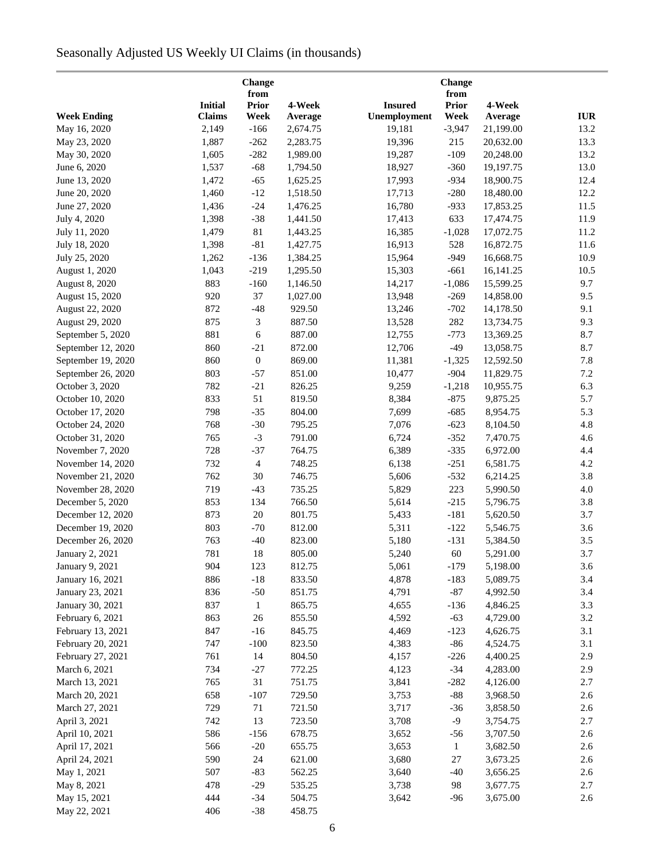# Seasonally Adjusted US Weekly UI Claims (in thousands)

|                                      |                | Change<br>from   |                  |                | Change<br>from |           |            |
|--------------------------------------|----------------|------------------|------------------|----------------|----------------|-----------|------------|
|                                      | <b>Initial</b> | <b>Prior</b>     | 4-Week           | <b>Insured</b> | <b>Prior</b>   | 4-Week    |            |
| <b>Week Ending</b>                   | <b>Claims</b>  | Week             | Average          | Unemployment   | Week           | Average   | <b>IUR</b> |
| May 16, 2020                         | 2,149          | $-166$           | 2,674.75         | 19,181         | $-3,947$       | 21,199.00 | 13.2       |
| May 23, 2020                         | 1,887          | $-262$           | 2,283.75         | 19,396         | 215            | 20,632.00 | 13.3       |
| May 30, 2020                         | 1,605          | $-282$           | 1,989.00         | 19,287         | $-109$         | 20,248.00 | 13.2       |
| June 6, 2020                         | 1,537          | $-68$            | 1,794.50         | 18,927         | $-360$         | 19,197.75 | 13.0       |
| June 13, 2020                        | 1,472          | $-65$            | 1,625.25         | 17,993         | $-934$         | 18,900.75 | 12.4       |
| June 20, 2020                        | 1,460          | $-12$            | 1,518.50         | 17,713         | $-280$         | 18,480.00 | 12.2       |
| June 27, 2020                        | 1,436          | $-24$            | 1,476.25         | 16,780         | $-933$         | 17,853.25 | 11.5       |
| July 4, 2020                         | 1,398          | $-38$            | 1,441.50         | 17,413         | 633            | 17,474.75 | 11.9       |
| July 11, 2020                        | 1,479          | $81\,$           | 1,443.25         | 16,385         | $-1,028$       | 17,072.75 | 11.2       |
| July 18, 2020                        | 1,398          | $-81$            | 1,427.75         | 16,913         | 528            | 16,872.75 | 11.6       |
| July 25, 2020                        | 1,262          | $-136$           | 1,384.25         | 15,964         | $-949$         | 16,668.75 | 10.9       |
| August 1, 2020                       | 1,043          | $-219$           | 1,295.50         | 15,303         | $-661$         | 16,141.25 | 10.5       |
| August 8, 2020                       | 883            | $-160$           | 1,146.50         | 14,217         | $-1,086$       | 15,599.25 | 9.7        |
| August 15, 2020                      | 920            | 37               | 1,027.00         | 13,948         | $-269$         | 14,858.00 | 9.5        |
| August 22, 2020                      | 872            | $-48$            | 929.50           | 13,246         | $-702$         | 14,178.50 | 9.1        |
| August 29, 2020                      | 875            | 3                | 887.50           | 13,528         | 282            | 13,734.75 | 9.3        |
| September 5, 2020                    | 881            | $\sqrt{6}$       | 887.00           | 12,755         | $-773$         | 13,369.25 | 8.7        |
| September 12, 2020                   | 860            | $-21$            | 872.00           | 12,706         | $-49$          | 13,058.75 | 8.7        |
| September 19, 2020                   | 860            | $\boldsymbol{0}$ | 869.00           | 11,381         | $-1,325$       | 12,592.50 | 7.8        |
| September 26, 2020                   | 803            | $-57$            | 851.00           | 10,477         | $-904$         | 11,829.75 | 7.2        |
| October 3, 2020                      | 782            | $-21$            | 826.25           | 9,259          | $-1,218$       | 10,955.75 | 6.3        |
| October 10, 2020                     | 833            | 51               | 819.50           | 8,384          | $-875$         | 9,875.25  | 5.7        |
| October 17, 2020                     | 798            | $-35$            | 804.00           | 7,699          | $-685$         | 8,954.75  | 5.3        |
| October 24, 2020                     | 768            | $-30$            | 795.25           | 7,076          | $-623$         | 8,104.50  | 4.8        |
| October 31, 2020                     | 765            | $-3$             | 791.00           | 6,724          | $-352$         | 7,470.75  | 4.6        |
| November 7, 2020                     | 728            | $-37$            | 764.75           | 6,389          | $-335$         | 6,972.00  | 4.4        |
| November 14, 2020                    | 732            | $\overline{4}$   | 748.25           | 6,138          | $-251$         | 6,581.75  | 4.2        |
| November 21, 2020                    | 762            | 30               | 746.75           | 5,606          | $-532$         | 6,214.25  | 3.8        |
| November 28, 2020                    | 719            | $-43$            | 735.25           | 5,829          | 223            | 5,990.50  | 4.0        |
| December 5, 2020                     | 853            | 134              | 766.50           | 5,614          | $-215$         | 5,796.75  | 3.8        |
| December 12, 2020                    | 873            | $20\,$           | 801.75           | 5,433          | $-181$         | 5,620.50  | 3.7        |
| December 19, 2020                    | 803            | $-70$            | 812.00           | 5,311          | $-122$         | 5,546.75  | 3.6        |
| December 26, 2020                    | 763            | $-40$            | 823.00           | 5,180          | $-131$         | 5,384.50  | 3.5        |
| January 2, 2021                      | 781            | 18               | 805.00           | 5,240          | 60             | 5,291.00  | 3.7        |
| January 9, 2021                      | 904            | 123              | 812.75           | 5,061          | $-179$         | 5,198.00  | 3.6        |
| January 16, 2021                     | 886            | $-18$            | 833.50           | 4,878          | $-183$         | 5,089.75  | 3.4        |
|                                      | 836            | $-50$            |                  | 4,791          | $-87$          | 4,992.50  | 3.4        |
| January 23, 2021<br>January 30, 2021 | 837            | $\mathbf{1}$     | 851.75<br>865.75 | 4,655          | $-136$         | 4,846.25  | 3.3        |
| February 6, 2021                     | 863            | 26               | 855.50           | 4,592          | $-63$          | 4,729.00  | 3.2        |
| February 13, 2021                    | 847            | $-16$            | 845.75           | 4,469          | $-123$         | 4,626.75  | 3.1        |
| February 20, 2021                    | 747            | $-100$           | 823.50           | 4,383          | $-86$          | 4,524.75  | 3.1        |
| February 27, 2021                    | 761            | 14               | 804.50           | 4,157          | $-226$         | 4,400.25  | 2.9        |
|                                      | 734            |                  |                  |                | $-34$          | 4,283.00  | 2.9        |
| March 6, 2021                        | 765            | $-27$<br>31      | 772.25<br>751.75 | 4,123<br>3,841 | $-282$         | 4,126.00  | 2.7        |
| March 13, 2021                       | 658            | $-107$           | 729.50           | 3,753          | $-88$          | 3,968.50  | 2.6        |
| March 20, 2021                       |                |                  |                  |                |                |           |            |
| March 27, 2021                       | 729            | 71               | 721.50           | 3,717          | $-36$          | 3,858.50  | 2.6        |
| April 3, 2021                        | 742            | 13               | 723.50           | 3,708          | $-9$           | 3,754.75  | 2.7        |
| April 10, 2021                       | 586            | $-156$           | 678.75           | 3,652          | $-56$          | 3,707.50  | 2.6        |
| April 17, 2021                       | 566            | $-20$            | 655.75           | 3,653          | $\mathbf{1}$   | 3,682.50  | 2.6        |
| April 24, 2021                       | 590            | 24               | 621.00           | 3,680          | $27\,$         | 3,673.25  | 2.6        |
| May 1, 2021                          | 507            | $-83$            | 562.25           | 3,640          | $-40$          | 3,656.25  | 2.6        |
| May 8, 2021                          | 478            | $-29$            | 535.25           | 3,738          | 98             | 3,677.75  | 2.7        |
| May 15, 2021                         | 444            | $-34$            | 504.75           | 3,642          | $-96$          | 3,675.00  | 2.6        |
| May 22, 2021                         | 406            | $-38$            | 458.75           |                |                |           |            |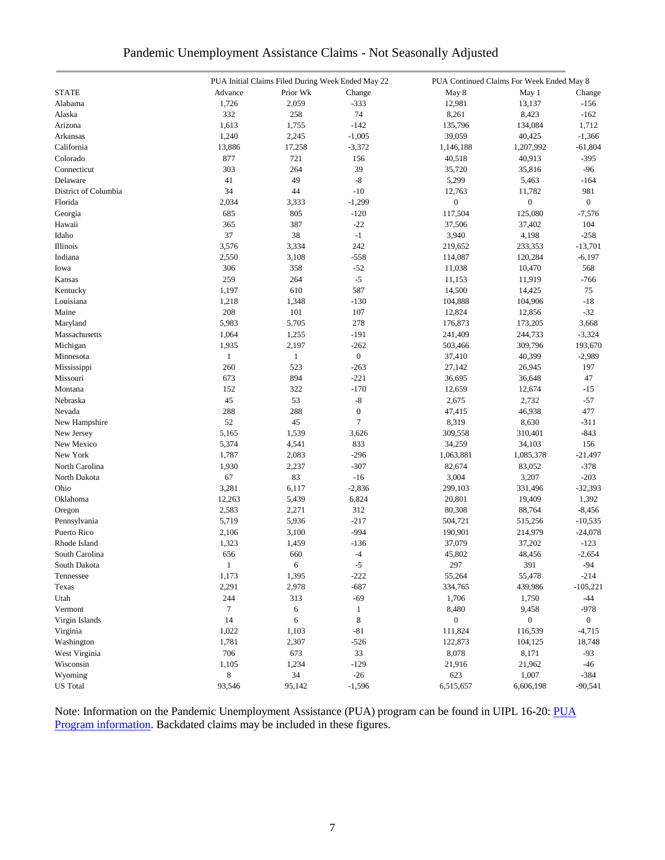|  | Pandemic Unemployment Assistance Claims - Not Seasonally Adjusted |  |  |  |
|--|-------------------------------------------------------------------|--|--|--|
|  |                                                                   |  |  |  |

|                      |              | PUA Initial Claims Filed During Week Ended May 22 |                  | PUA Continued Claims For Week Ended May 8 |                  |                |  |
|----------------------|--------------|---------------------------------------------------|------------------|-------------------------------------------|------------------|----------------|--|
| <b>STATE</b>         | Advance      | Prior Wk                                          | Change           | May 8                                     | May 1            | Change         |  |
| Alabama              | 1,726        | 2,059                                             | $-333$           | 12,981                                    | 13,137           | $-156$         |  |
| Alaska               | 332          | 258                                               | 74               | 8,261                                     | 8,423            | $-162$         |  |
| Arizona              | 1,613        | 1,755                                             | $-142$           | 135,796                                   | 134,084          | 1,712          |  |
| Arkansas             | 1,240        | 2,245                                             | $-1,005$         | 39,059                                    | 40,425           | $-1,366$       |  |
| California           | 13,886       | 17,258                                            | $-3,372$         | 1,146,188                                 | 1,207,992        | $-61,804$      |  |
| Colorado             | 877          | 721                                               | 156              | 40,518                                    | 40,913           | $-395$         |  |
| Connecticut          | 303          | 264                                               | 39               | 35,720                                    | 35,816           | $-96$          |  |
| Delaware             | 41           | 49                                                | $\mbox{-}8$      | 5,299                                     | 5,463            | $-164$         |  |
| District of Columbia | 34           | 44                                                | $-10$            | 12,763                                    | 11,782           | 981            |  |
| Florida              | 2,034        | 3,333                                             | $-1,299$         | $\boldsymbol{0}$                          | $\boldsymbol{0}$ | $\overline{0}$ |  |
| Georgia              | 685          | 805                                               | $-120$           | 117,504                                   | 125,080          | $-7,576$       |  |
| Hawaii               | 365          | 387                                               | $-22$            | 37,506                                    | 37,402           | 104            |  |
| Idaho                | 37           | 38                                                | $-1$             | 3,940                                     | 4,198            | $-258$         |  |
| Illinois             | 3,576        | 3,334                                             | 242              | 219,652                                   | 233,353          | $-13,701$      |  |
| Indiana              | 2,550        | 3,108                                             | $-558$           | 114,087                                   | 120,284          | $-6,197$       |  |
| Iowa                 | 306          | 358                                               | $-52$            | 11,038                                    | 10,470           | 568            |  |
| Kansas               | 259          | 264                                               | $-5$             | 11,153                                    | 11,919           | $-766$         |  |
| Kentucky             | 1,197        | 610                                               | 587              | 14,500                                    | 14,425           | 75             |  |
| Louisiana            | 1,218        | 1,348                                             | $-130$           | 104,888                                   | 104,906          | $-18$          |  |
| Maine                | 208          | 101                                               | 107              | 12,824                                    | 12,856           | $-32$          |  |
| Maryland             | 5,983        | 5,705                                             | 278              | 176,873                                   | 173,205          | 3,668          |  |
| Massachusetts        | 1,064        | 1,255                                             | $-191$           | 241,409                                   | 244,733          | $-3,324$       |  |
| Michigan             | 1,935        | 2,197                                             | $-262$           | 503,466                                   | 309,796          | 193,670        |  |
| Minnesota            | $\mathbf{1}$ | $\mathbf{1}$                                      | $\boldsymbol{0}$ | 37,410                                    | 40,399           | $-2,989$       |  |
| Mississippi          | 260          | 523                                               | $-263$           | 27,142                                    | 26,945           | 197            |  |
| Missouri             | 673          | 894                                               | $-221$           | 36,695                                    | 36,648           | 47             |  |
| Montana              | 152          | 322                                               | $-170$           | 12,659                                    | 12,674           | $-15$          |  |
| Nebraska             | 45           | 53                                                | $\mbox{-}8$      |                                           |                  |                |  |
|                      | 288          | 288                                               | $\mathbf{0}$     | 2,675                                     | 2,732            | $-57$          |  |
| Nevada               |              |                                                   | $\overline{7}$   | 47,415                                    | 46,938           | 477            |  |
| New Hampshire        | 52           | 45                                                |                  | 8,319                                     | 8,630            | $-311$         |  |
| New Jersey           | 5,165        | 1,539                                             | 3,626            | 309,558                                   | 310,401          | $-843$         |  |
| New Mexico           | 5,374        | 4,541                                             | 833              | 34,259                                    | 34,103           | 156            |  |
| New York             | 1,787        | 2,083                                             | $-296$           | 1,063,881                                 | 1,085,378        | $-21,497$      |  |
| North Carolina       | 1,930        | 2,237                                             | $-307$           | 82,674                                    | 83,052           | $-378$         |  |
| North Dakota         | 67           | 83                                                | $-16$            | 3,004                                     | 3,207            | $-203$         |  |
| Ohio                 | 3,281        | 6,117                                             | $-2,836$         | 299,103                                   | 331,496          | $-32,393$      |  |
| Oklahoma             | 12,263       | 5,439                                             | 6,824            | 20,801                                    | 19,409           | 1,392          |  |
| Oregon               | 2,583        | 2,271                                             | 312              | 80,308                                    | 88,764           | $-8,456$       |  |
| Pennsylvania         | 5,719        | 5,936                                             | $-217$           | 504,721                                   | 515,256          | $-10,535$      |  |
| Puerto Rico          | 2,106        | 3,100                                             | $-994$           | 190,901                                   | 214,979          | $-24,078$      |  |
| Rhode Island         | 1,323        | 1,459                                             | $-136$           | 37,079                                    | 37,202           | $-123$         |  |
| South Carolina       | 656          | 660                                               | $-4$             | 45,802                                    | 48,456           | $-2,654$       |  |
| South Dakota         | $\mathbf{1}$ | 6                                                 | $-5$             | 297                                       | 391              | $-94$          |  |
| Tennessee            | 1,173        | 1,395                                             | $-222$           | 55,264                                    | 55,478           | $-214$         |  |
| Texas                | 2,291        | 2,978                                             | $-687$           | 334,765                                   | 439,986          | $-105,221$     |  |
| Utah                 | 244          | 313                                               | $-69$            | 1,706                                     | 1,750            | $-44$          |  |
| Vermont              | $\tau$       | 6                                                 | 1                | 8,480                                     | 9,458            | $-978$         |  |
| Virgin Islands       | 14           | 6                                                 | 8                | $\boldsymbol{0}$                          | $\boldsymbol{0}$ | $\overline{0}$ |  |
| Virginia             | 1,022        | 1,103                                             | $-81$            | 111,824                                   | 116,539          | $-4,715$       |  |
| Washington           | 1,781        | 2,307                                             | $-526$           | 122,873                                   | 104,125          | 18,748         |  |
| West Virginia        | 706          | 673                                               | 33               | 8,078                                     | 8,171            | $-93$          |  |
| Wisconsin            | 1,105        | 1,234                                             | $-129$           | 21,916                                    | 21,962           | -46            |  |
| Wyoming              | 8            | 34                                                | $-26$            | 623                                       | 1,007            | $-384$         |  |
| <b>US</b> Total      | 93,546       | 95,142                                            | $-1,596$         | 6,515,657                                 | 6,606,198        | $-90,541$      |  |

Note: Information on the Pandemic Unemployment Assistance (PUA) program can be found in UIPL 16-20: PUA [Program information.](https://wdr.doleta.gov/directives/corr_doc.cfm?DOCN=4628) Backdated claims may be included in these figures.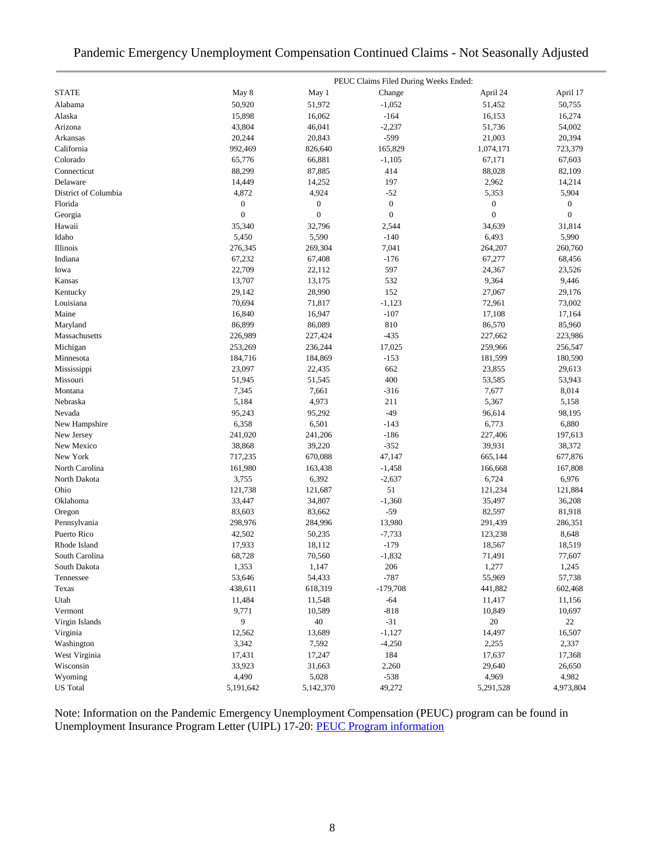# Pandemic Emergency Unemployment Compensation Continued Claims - Not Seasonally Adjusted

|                      |                  |                  | PEUC Claims Filed During Weeks Ended: |                  |                  |
|----------------------|------------------|------------------|---------------------------------------|------------------|------------------|
| <b>STATE</b>         | May 8            | May 1            | Change                                | April 24         | April 17         |
| Alabama              | 50,920           | 51,972           | $-1,052$                              | 51,452           | 50,755           |
| Alaska               | 15,898           | 16,062           | $-164$                                | 16,153           | 16,274           |
| Arizona              | 43,804           | 46,041           | $-2,237$                              | 51,736           | 54,002           |
| Arkansas             | 20,244           | 20,843           | $-599$                                | 21,003           | 20,394           |
| California           | 992,469          | 826,640          | 165,829                               | 1,074,171        | 723,379          |
| Colorado             | 65,776           | 66,881           | $-1,105$                              | 67,171           | 67,603           |
| Connecticut          | 88,299           | 87,885           | 414                                   | 88,028           | 82,109           |
| Delaware             | 14,449           | 14,252           | 197                                   | 2,962            | 14,214           |
| District of Columbia | 4,872            | 4,924            | $-52$                                 | 5,353            | 5,904            |
| Florida              | $\boldsymbol{0}$ | $\boldsymbol{0}$ | $\boldsymbol{0}$                      | $\boldsymbol{0}$ | $\boldsymbol{0}$ |
| Georgia              | $\mathbf{0}$     | $\boldsymbol{0}$ | $\boldsymbol{0}$                      | $\boldsymbol{0}$ | $\boldsymbol{0}$ |
| Hawaii               | 35,340           | 32,796           | 2,544                                 | 34,639           | 31,814           |
| Idaho                | 5,450            | 5,590            | $-140$                                | 6,493            | 5,990            |
| Illinois             | 276,345          | 269,304          | 7,041                                 | 264,207          | 260,760          |
| Indiana              | 67,232           | 67,408           | $-176$                                | 67,277           | 68,456           |
| Iowa                 | 22,709           | 22,112           | 597                                   | 24,367           | 23,526           |
| Kansas               | 13,707           | 13,175           | 532                                   | 9,364            | 9,446            |
| Kentucky             | 29,142           | 28,990           | 152                                   | 27,067           | 29,176           |
| Louisiana            | 70,694           | 71,817           | $-1,123$                              | 72,961           | 73,002           |
| Maine                | 16,840           | 16,947           | $-107$                                | 17,108           | 17,164           |
| Maryland             | 86,899           | 86,089           | 810                                   | 86,570           | 85,960           |
| Massachusetts        | 226,989          | 227,424          | $-435$                                | 227,662          | 223,986          |
| Michigan             | 253,269          | 236,244          | 17,025                                | 259,966          | 256,547          |
| Minnesota            | 184,716          | 184,869          | $-153$                                | 181,599          | 180,590          |
| Mississippi          | 23,097           | 22,435           | 662                                   | 23,855           | 29,613           |
| Missouri             | 51,945           | 51,545           | 400                                   | 53,585           | 53,943           |
| Montana              | 7,345            | 7,661            | $-316$                                | 7,677            | 8,014            |
| Nebraska             | 5,184            | 4,973            | 211                                   | 5,367            | 5,158            |
| Nevada               | 95,243           | 95,292           | $-49$                                 | 96,614           | 98,195           |
| New Hampshire        | 6,358            | 6,501            | $-143$                                | 6,773            | 6,880            |
| New Jersey           | 241,020          | 241,206          | $-186$                                | 227,406          | 197,613          |
| New Mexico           | 38,868           | 39,220           | $-352$                                | 39,931           | 38,372           |
| New York             | 717,235          | 670,088          | 47,147                                | 665,144          | 677,876          |
| North Carolina       | 161,980          | 163,438          | $-1,458$                              | 166,668          | 167,808          |
| North Dakota         | 3,755            | 6,392            | $-2,637$                              | 6,724            | 6,976            |
| Ohio                 | 121,738          | 121,687          | 51                                    | 121,234          | 121,884          |
| Oklahoma             | 33,447           | 34,807           | $-1,360$                              | 35,497           | 36,208           |
| Oregon               | 83,603           | 83,662           | $-59$                                 | 82,597           | 81,918           |
| Pennsylvania         | 298,976          | 284,996          | 13,980                                | 291,439          | 286,351          |
| Puerto Rico          | 42,502           | 50,235           | $-7,733$                              | 123,238          | 8,648            |
| Rhode Island         | 17,933           | 18,112           | $-179$                                | 18,567           | 18,519           |
| South Carolina       | 68,728           | 70,560           | $-1,832$                              | 71,491           | 77,607           |
| South Dakota         | 1,353            | 1,147            | 206                                   | 1,277            | 1,245            |
| Tennessee            | 53,646           | 54,433           | $-787$                                | 55,969           | 57,738           |
| Texas                | 438,611          | 618,319          | $-179,708$                            | 441,882          | 602,468          |
| Utah                 | 11,484           | 11,548           | $-64$                                 | 11,417           | 11,156           |
| Vermont              | 9,771            | 10,589           | $-818$                                | 10,849           | 10,697           |
| Virgin Islands       | 9                | 40               | $-31$                                 | $20\,$           | 22               |
| Virginia             | 12,562           | 13,689           | $-1,127$                              | 14,497           | 16,507           |
| Washington           | 3,342            | 7,592            | $-4,250$                              | 2,255            | 2,337            |
| West Virginia        | 17,431           | 17,247           | 184                                   | 17,637           | 17,368           |
| Wisconsin            | 33,923           | 31,663           | 2,260                                 | 29,640           | 26,650           |
| Wyoming              | 4,490            | 5,028            | $-538$                                | 4,969            | 4,982            |
| <b>US</b> Total      | 5,191,642        | 5,142,370        | 49,272                                | 5,291,528        | 4,973,804        |

Note: Information on the Pandemic Emergency Unemployment Compensation (PEUC) program can be found in Unemployment Insurance Program Letter (UIPL) 17-20: [PEUC Program information](https://wdr.doleta.gov/directives/corr_doc.cfm?DOCN=8452)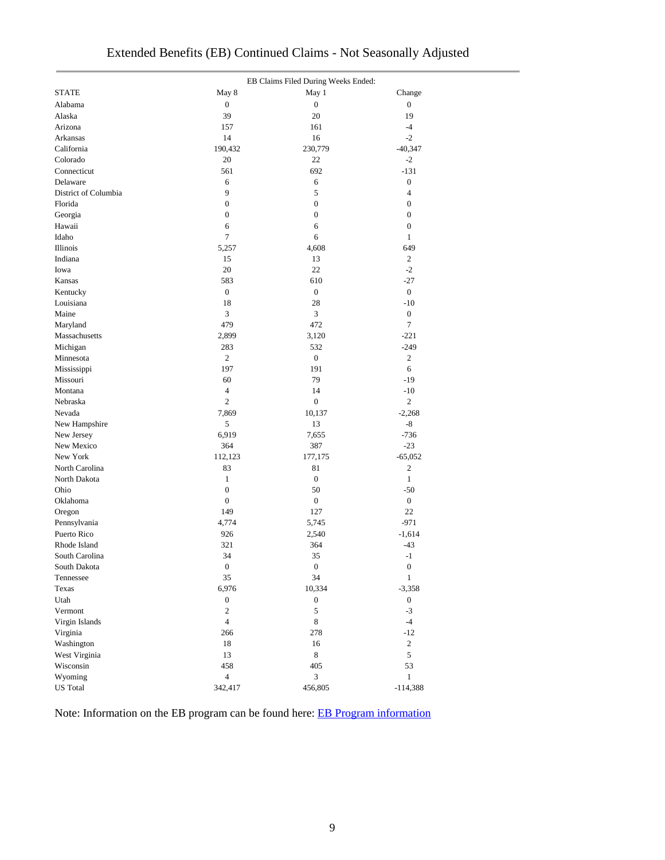|                      | EB Claims Filed During Weeks Ended: |                  |                  |  |  |  |
|----------------------|-------------------------------------|------------------|------------------|--|--|--|
| <b>STATE</b>         | May 8                               | May 1            | Change           |  |  |  |
| Alabama              | $\boldsymbol{0}$                    | $\boldsymbol{0}$ | $\boldsymbol{0}$ |  |  |  |
| Alaska               | 39                                  | 20               | 19               |  |  |  |
| Arizona              | 157                                 | 161              | $-4$             |  |  |  |
| Arkansas             | 14                                  | 16               | $-2$             |  |  |  |
| California           | 190,432                             | 230,779          | $-40,347$        |  |  |  |
| Colorado             | 20                                  | 22               | $-2$             |  |  |  |
| Connecticut          | 561                                 | 692              | $-131$           |  |  |  |
| Delaware             | 6                                   | 6                | $\boldsymbol{0}$ |  |  |  |
| District of Columbia | 9                                   | 5                | $\overline{4}$   |  |  |  |
| Florida              | $\boldsymbol{0}$                    | $\boldsymbol{0}$ | $\boldsymbol{0}$ |  |  |  |
| Georgia              | $\boldsymbol{0}$                    | $\boldsymbol{0}$ | $\boldsymbol{0}$ |  |  |  |
| Hawaii               | 6                                   | 6                | $\boldsymbol{0}$ |  |  |  |
| Idaho                | 7                                   | 6                | $\mathbf{1}$     |  |  |  |
| Illinois             | 5,257                               | 4,608            | 649              |  |  |  |
| Indiana              | 15                                  | 13               | $\overline{2}$   |  |  |  |
| Iowa                 | 20                                  | 22               | $-2$             |  |  |  |
| Kansas               | 583                                 | 610              | $-27$            |  |  |  |
| Kentucky             | $\boldsymbol{0}$                    | $\boldsymbol{0}$ | $\boldsymbol{0}$ |  |  |  |
| Louisiana            | 18                                  | 28               | $-10$            |  |  |  |
| Maine                | 3                                   | 3                | $\boldsymbol{0}$ |  |  |  |
| Maryland             | 479                                 | 472              | $\tau$           |  |  |  |
| Massachusetts        | 2,899                               | 3,120            | $-221$           |  |  |  |
| Michigan             | 283                                 | 532              | $-249$           |  |  |  |
| Minnesota            | $\overline{c}$                      | $\boldsymbol{0}$ | $\overline{c}$   |  |  |  |
| Mississippi          | 197                                 | 191              | 6                |  |  |  |
| Missouri             | 60                                  | 79               | $-19$            |  |  |  |
| Montana              | 4                                   | 14               | $-10$            |  |  |  |
| Nebraska             | $\mathfrak{2}$                      | $\boldsymbol{0}$ | $\overline{c}$   |  |  |  |
| Nevada               | 7,869                               | 10,137           | $-2,268$         |  |  |  |
| New Hampshire        | 5                                   | 13               | -8               |  |  |  |
| New Jersey           | 6,919                               | 7,655            | $-736$           |  |  |  |
| New Mexico           | 364                                 | 387              | $-23$            |  |  |  |
| New York             | 112,123                             | 177,175          | $-65,052$        |  |  |  |
| North Carolina       | 83                                  | 81               | $\mathbf{2}$     |  |  |  |
| North Dakota         | $\mathbf{1}$                        | $\boldsymbol{0}$ | $\mathbf{1}$     |  |  |  |
| Ohio                 | $\boldsymbol{0}$                    | 50               | $-50$            |  |  |  |
| Oklahoma             | $\boldsymbol{0}$                    | $\boldsymbol{0}$ | $\boldsymbol{0}$ |  |  |  |
| Oregon               | 149                                 | 127              | 22               |  |  |  |
| Pennsylvania         | 4,774                               | 5,745            | $-971$           |  |  |  |
| Puerto Rico          | 926                                 | 2,540            | $-1,614$         |  |  |  |
| Rhode Island         | 321                                 | 364              | $-43$            |  |  |  |
| South Carolina       | 34                                  | 35               | $-1$             |  |  |  |
| South Dakota         | $\boldsymbol{0}$                    | $\boldsymbol{0}$ | $\boldsymbol{0}$ |  |  |  |
| Tennessee            | 35                                  | 34               | $\mathbf{1}$     |  |  |  |
| Texas                | 6,976                               | 10,334           | $-3,358$         |  |  |  |
| Utah                 | $\boldsymbol{0}$                    | $\boldsymbol{0}$ | $\boldsymbol{0}$ |  |  |  |
| Vermont              | $\overline{c}$                      | 5                | $-3$             |  |  |  |
| Virgin Islands       | $\overline{4}$                      | 8                | $-4$             |  |  |  |
| Virginia             | 266                                 | 278              | $-12$            |  |  |  |
| Washington           | 18                                  | 16               | $\overline{c}$   |  |  |  |
| West Virginia        | 13                                  | 8                | 5                |  |  |  |
| Wisconsin            | 458                                 | 405              | 53               |  |  |  |
| Wyoming              | $\overline{4}$                      | $\mathfrak{Z}$   | $\mathbf{1}$     |  |  |  |

Note: Information on the EB program can be found here: [EB Program information](https://oui.doleta.gov/unemploy/extenben.asp)

US Total 114,388 and 342,417 456,805 and 456,805 and 456,805 and 456,805 and 456,805 and 456,805 and 456,805 and 456,805 and 47.888 and 47.888 and 47.888 and 47.888 and 47.888 and 47.888 and 47.888 and 47.888 and 47.888 an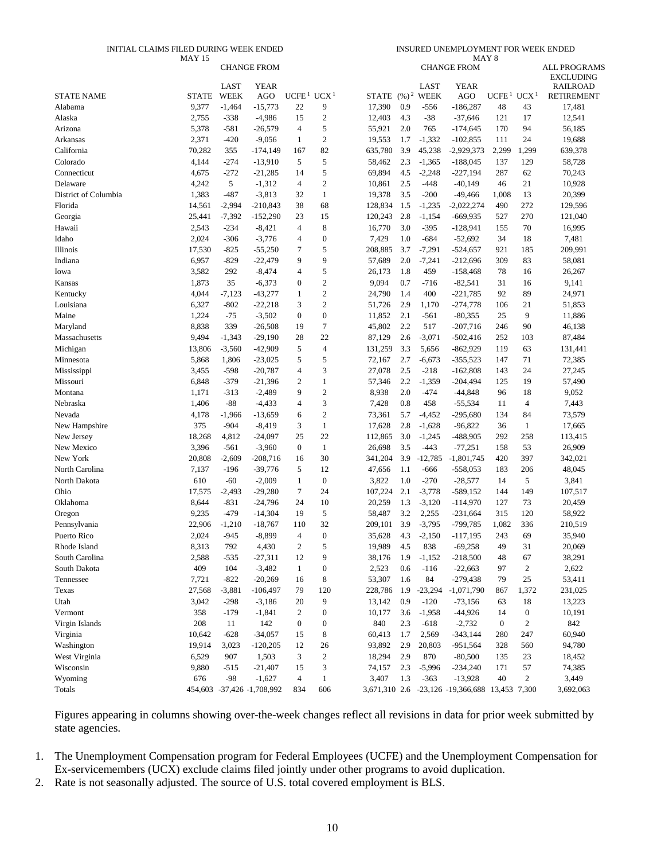#### INITIAL CLAIMS FILED DURING WEEK ENDED

INSURED UNEMPLOYMENT FOR WEEK ENDED

|                      | <b>MAY 15</b> |          |                            |                                    |                  |         |     |               | MAY <sub>8</sub>                               |                   |                  |                     |
|----------------------|---------------|----------|----------------------------|------------------------------------|------------------|---------|-----|---------------|------------------------------------------------|-------------------|------------------|---------------------|
|                      |               |          | <b>CHANGE FROM</b>         |                                    |                  |         |     |               | <b>CHANGE FROM</b>                             |                   |                  | <b>ALL PROGRAMS</b> |
|                      |               |          |                            |                                    |                  |         |     |               |                                                |                   |                  | <b>EXCLUDING</b>    |
|                      |               | LAST     | <b>YEAR</b>                |                                    |                  |         |     | <b>LAST</b>   | <b>YEAR</b>                                    |                   |                  | <b>RAILROAD</b>     |
| <b>STATE NAME</b>    | <b>STATE</b>  | WEEK     | AGO                        | UCFE <sup>1</sup> UCX <sup>1</sup> |                  | STATE   |     | $(\%)^2$ WEEK | AGO                                            | UCFE <sup>1</sup> | UCX <sup>1</sup> | <b>RETIREMENT</b>   |
| Alabama              | 9,377         | $-1,464$ | $-15,773$                  | 22                                 | 9                | 17,390  | 0.9 | $-556$        | $-186,287$                                     | 48                | 43               | 17,481              |
| Alaska               | 2,755         | $-338$   | $-4,986$                   | 15                                 | $\sqrt{2}$       | 12,403  | 4.3 | $-38$         | $-37,646$                                      | 121               | 17               | 12,541              |
| Arizona              | 5,378         | $-581$   | $-26,579$                  | 4                                  | 5                | 55,921  | 2.0 | 765           | $-174,645$                                     | 170               | 94               | 56,185              |
| Arkansas             | 2,371         | $-420$   | $-9,056$                   | 1                                  | $\sqrt{2}$       | 19,553  | 1.7 | $-1,332$      | $-102,855$                                     | 111               | 24               | 19,688              |
| California           | 70,282        | 355      | $-174,149$                 | 167                                | 82               | 635,780 | 3.9 | 45,238        | $-2,929,373$                                   | 2,299             | 1,299            | 639,378             |
| Colorado             | 4,144         | $-274$   | $-13,910$                  | 5                                  | $\sqrt{5}$       | 58,462  | 2.3 | $-1,365$      | $-188,045$                                     | 137               | 129              | 58,728              |
| Connecticut          | 4,675         | $-272$   | $-21,285$                  | 14                                 | 5                | 69,894  | 4.5 | $-2,248$      | $-227,194$                                     | 287               | 62               | 70,243              |
| Delaware             | 4,242         | 5        | $-1,312$                   | $\overline{4}$                     | $\sqrt{2}$       | 10,861  | 2.5 | $-448$        | $-40,149$                                      | 46                | 21               | 10,928              |
| District of Columbia | 1,383         | $-487$   | $-3,813$                   | 32                                 | $\mathbf{1}$     | 19,378  | 3.5 | $-200$        | $-49,466$                                      | 1,008             | 13               | 20,399              |
| Florida              | 14,561        | $-2,994$ | $-210,843$                 | 38                                 | 68               | 128,834 | 1.5 | $-1,235$      | $-2,022,274$                                   | 490               | 272              | 129,596             |
| Georgia              | 25,441        | $-7,392$ | $-152,290$                 | 23                                 | 15               | 120,243 | 2.8 | $-1,154$      | $-669,935$                                     | 527               | 270              | 121,040             |
| Hawaii               | 2,543         | $-234$   | $-8,421$                   | 4                                  | $\,8\,$          | 16,770  | 3.0 | $-395$        | $-128,941$                                     | 155               | 70               | 16,995              |
| Idaho                | 2,024         | $-306$   | $-3,776$                   | 4                                  | $\boldsymbol{0}$ | 7,429   | 1.0 | $-684$        | $-52,692$                                      | 34                | 18               | 7,481               |
| Illinois             | 17,530        | $-825$   | $-55,250$                  | 7                                  | 5                | 208,885 | 3.7 | $-7,291$      | $-524,657$                                     | 921               | 185              | 209,991             |
| Indiana              | 6,957         | $-829$   | $-22,479$                  | 9                                  | 9                | 57,689  | 2.0 | $-7,241$      | $-212,696$                                     | 309               | 83               | 58,081              |
| Iowa                 | 3,582         | 292      | $-8,474$                   | 4                                  | 5                | 26,173  | 1.8 | 459           | $-158,468$                                     | 78                | 16               | 26,267              |
|                      | 1,873         | 35       | $-6,373$                   | $\overline{0}$                     | $\sqrt{2}$       | 9,094   | 0.7 | $-716$        | $-82,541$                                      | 31                | 16               | 9,141               |
| Kansas               |               |          |                            |                                    |                  |         |     |               |                                                |                   |                  |                     |
| Kentucky             | 4,044         | $-7,123$ | $-43,277$                  | 1                                  | $\sqrt{2}$       | 24,790  | 1.4 | 400           | $-221,785$                                     | 92                | 89               | 24,971              |
| Louisiana            | 6,327         | $-802$   | $-22,218$                  | 3                                  | $\mathfrak{2}$   | 51,726  | 2.9 | 1,170         | $-274,778$                                     | 106               | 21               | 51,853              |
| Maine                | 1,224         | $-75$    | $-3,502$                   | $\overline{0}$                     | $\boldsymbol{0}$ | 11,852  | 2.1 | $-561$        | $-80,355$                                      | 25                | 9                | 11,886              |
| Maryland             | 8,838         | 339      | $-26,508$                  | 19                                 | $\tau$           | 45,802  | 2.2 | 517           | $-207,716$                                     | 246               | 90               | 46,138              |
| Massachusetts        | 9,494         | $-1,343$ | $-29,190$                  | 28                                 | 22               | 87,129  | 2.6 | $-3,071$      | $-502,416$                                     | 252               | 103              | 87,484              |
| Michigan             | 13,806        | $-3,560$ | $-42,909$                  | 5                                  | $\overline{4}$   | 131,259 | 3.3 | 5,656         | $-862,929$                                     | 119               | 63               | 131,441             |
| Minnesota            | 5,868         | 1,806    | $-23,025$                  | 5                                  | $\sqrt{5}$       | 72,167  | 2.7 | $-6,673$      | $-355,523$                                     | 147               | 71               | 72,385              |
| Mississippi          | 3,455         | $-598$   | $-20,787$                  | 4                                  | 3                | 27,078  | 2.5 | $-218$        | $-162,808$                                     | 143               | 24               | 27,245              |
| Missouri             | 6,848         | $-379$   | $-21,396$                  | $\overline{2}$                     | $\mathbf{1}$     | 57,346  | 2.2 | $-1,359$      | $-204,494$                                     | 125               | 19               | 57,490              |
| Montana              | 1,171         | $-313$   | $-2,489$                   | 9                                  | $\mathfrak{2}$   | 8,938   | 2.0 | $-474$        | $-44,848$                                      | 96                | 18               | 9,052               |
| Nebraska             | 1,406         | $-88$    | $-4,433$                   | 4                                  | 3                | 7,428   | 0.8 | 458           | $-55,534$                                      | 11                | 4                | 7,443               |
| Nevada               | 4,178         | $-1,966$ | $-13,659$                  | 6                                  | $\sqrt{2}$       | 73,361  | 5.7 | $-4,452$      | $-295,680$                                     | 134               | 84               | 73,579              |
| New Hampshire        | 375           | $-904$   | $-8,419$                   | 3                                  | $\mathbf{1}$     | 17,628  | 2.8 | $-1,628$      | $-96,822$                                      | 36                | $\mathbf{1}$     | 17,665              |
| New Jersey           | 18,268        | 4,812    | $-24,097$                  | 25                                 | 22               | 112,865 | 3.0 | $-1,245$      | $-488,905$                                     | 292               | 258              | 113,415             |
| New Mexico           | 3,396         | $-561$   | $-3,960$                   | $\boldsymbol{0}$                   | $\mathbf{1}$     | 26,698  | 3.5 | $-443$        | $-77,251$                                      | 158               | 53               | 26,909              |
| New York             | 20,808        | $-2,609$ | $-208,716$                 | 16                                 | 30               | 341,204 | 3.9 | $-12,785$     | $-1,801,745$                                   | 420               | 397              | 342,021             |
| North Carolina       | 7,137         | $-196$   | $-39,776$                  | 5                                  | 12               | 47,656  | 1.1 | $-666$        | $-558,053$                                     | 183               | 206              | 48,045              |
| North Dakota         | 610           | $-60$    | $-2,009$                   | $\mathbf{1}$                       | $\boldsymbol{0}$ | 3,822   | 1.0 | $-270$        | $-28,577$                                      | 14                | 5                | 3,841               |
| Ohio                 | 17,575        | $-2,493$ | $-29,280$                  | $\tau$                             | 24               | 107,224 | 2.1 | $-3,778$      | $-589,152$                                     | 144               | 149              | 107,517             |
| Oklahoma             | 8,644         | $-831$   | $-24,796$                  | 24                                 | 10               | 20,259  | 1.3 | $-3,120$      | $-114,970$                                     | 127               | 73               | 20,459              |
| Oregon               | 9,235         | $-479$   | $-14,304$                  | 19                                 | $\sqrt{5}$       | 58,487  | 3.2 | 2,255         | $-231,664$                                     | 315               | 120              | 58,922              |
| Pennsylvania         | 22,906        | $-1,210$ | $-18,767$                  | 110                                | 32               | 209,101 | 3.9 | $-3,795$      | -799,785                                       | 1,082             | 336              | 210,519             |
| Puerto Rico          | 2,024         | $-945$   | $-8,899$                   | $\overline{4}$                     | $\boldsymbol{0}$ | 35,628  | 4.3 | $-2,150$      | $-117,195$                                     | 243               | 69               | 35,940              |
| Rhode Island         |               |          |                            | $\overline{c}$                     | $\sqrt{5}$       |         |     |               |                                                | 49                | 31               |                     |
|                      | 8,313         | 792      | 4,430                      |                                    |                  | 19,989  | 4.5 | 838           | $-69,258$                                      |                   |                  | 20,069              |
| South Carolina       | 2,588         | $-535$   | $-27,311$                  | 12                                 | 9                | 38,176  | 1.9 | $-1,152$      | $-218,500$                                     | 48                | 67               | 38,291              |
| South Dakota         | 409           | 104      | $-3,482$                   | $\mathbf{1}$                       | $\boldsymbol{0}$ | 2,523   | 0.6 | $-116$        | $-22,663$                                      | 97                | $\overline{2}$   | 2,622               |
| Tennessee            | 7,721         | $-822$   | $-20,269$                  | 16                                 | 8                | 53,307  | 1.6 | 84            | $-279,438$                                     | 79                | 25               | 53,411              |
| Texas                | 27,568        | $-3,881$ | $-106,497$                 | 79                                 | 120              | 228,786 | 1.9 | $-23,294$     | $-1,071,790$                                   | 867               | 1,372            | 231,025             |
| Utah                 | 3,042         | $-298$   | $-3,186$                   | 20                                 | 9                | 13,142  | 0.9 | $-120$        | $-73,156$                                      | 63                | 18               | 13,223              |
| Vermont              | 358           | $-179$   | $-1,841$                   | $\boldsymbol{2}$                   | $\boldsymbol{0}$ | 10,177  | 3.6 | $-1,958$      | $-44,926$                                      | 14                | $\boldsymbol{0}$ | 10,191              |
| Virgin Islands       | 208           | 11       | 142                        | $\boldsymbol{0}$                   | $\boldsymbol{0}$ | 840     | 2.3 | $-618$        | $-2,732$                                       | $\boldsymbol{0}$  | $\boldsymbol{2}$ | 842                 |
| Virginia             | 10,642        | $-628$   | $-34,057$                  | 15                                 | $\,8\,$          | 60,413  | 1.7 | 2,569         | $-343,144$                                     | 280               | 247              | 60,940              |
| Washington           | 19,914        | 3,023    | $-120,205$                 | 12                                 | 26               | 93,892  | 2.9 | 20,803        | $-951,564$                                     | 328               | 560              | 94,780              |
| West Virginia        | 6,529         | 907      | 1,503                      | 3                                  | $\sqrt{2}$       | 18,294  | 2.9 | 870           | $-80,500$                                      | 135               | 23               | 18,452              |
| Wisconsin            | 9,880         | $-515$   | $-21,407$                  | 15                                 | 3                | 74,157  | 2.3 | $-5,996$      | $-234,240$                                     | 171               | 57               | 74,385              |
| Wyoming              | 676           | $-98$    | $-1,627$                   | $\overline{4}$                     | $\mathbf{1}$     | 3,407   | 1.3 | $-363$        | $-13,928$                                      | 40                | $\boldsymbol{2}$ | 3,449               |
| Totals               |               |          | 454,603 -37,426 -1,708,992 | 834                                | 606              |         |     |               | 3,671,310 2.6 -23,126 -19,366,688 13,453 7,300 |                   |                  | 3,692,063           |
|                      |               |          |                            |                                    |                  |         |     |               |                                                |                   |                  |                     |

Figures appearing in columns showing over-the-week changes reflect all revisions in data for prior week submitted by state agencies.

1. The Unemployment Compensation program for Federal Employees (UCFE) and the Unemployment Compensation for Ex-servicemembers (UCX) exclude claims filed jointly under other programs to avoid duplication.

2. Rate is not seasonally adjusted. The source of U.S. total covered employment is BLS.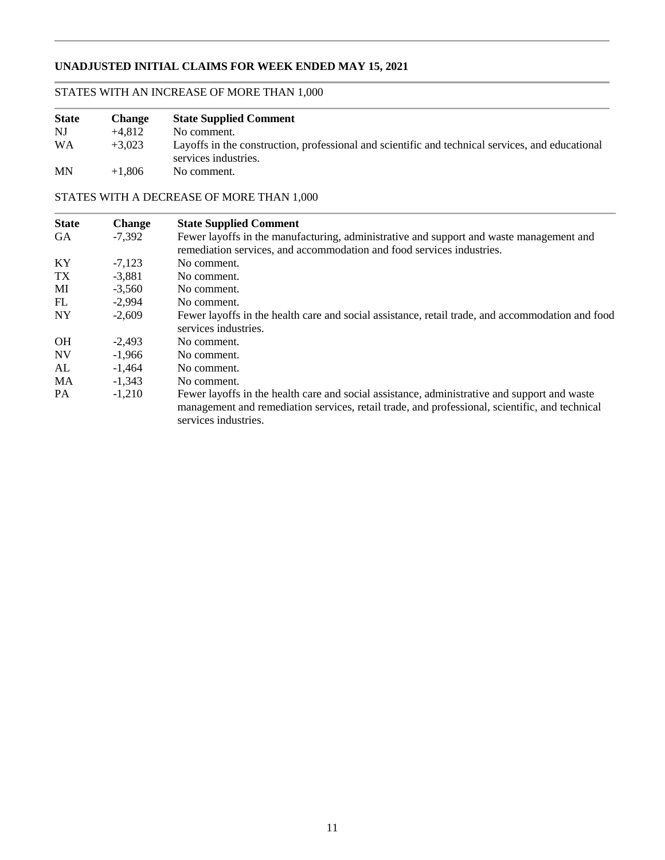# **UNADJUSTED INITIAL CLAIMS FOR WEEK ENDED MAY 15, 2021**

# STATES WITH AN INCREASE OF MORE THAN 1,000

| <b>State</b> | <b>Change</b> | <b>State Supplied Comment</b>                                                                                            |
|--------------|---------------|--------------------------------------------------------------------------------------------------------------------------|
| NJ           | $+4.812$      | No comment.                                                                                                              |
| <b>WA</b>    | $+3.023$      | Layoffs in the construction, professional and scientific and technical services, and educational<br>services industries. |
| <b>MN</b>    | $+1.806$      | No comment.                                                                                                              |

### STATES WITH A DECREASE OF MORE THAN 1,000

| <b>State</b> | <b>Change</b> | <b>State Supplied Comment</b>                                                                                                                                                                                          |
|--------------|---------------|------------------------------------------------------------------------------------------------------------------------------------------------------------------------------------------------------------------------|
| <b>GA</b>    | -7,392        | Fewer layoffs in the manufacturing, administrative and support and waste management and<br>remediation services, and accommodation and food services industries.                                                       |
| KY           | $-7,123$      | No comment.                                                                                                                                                                                                            |
| TX           | $-3.881$      | No comment.                                                                                                                                                                                                            |
| MI           | $-3.560$      | No comment.                                                                                                                                                                                                            |
| FL           | $-2.994$      | No comment.                                                                                                                                                                                                            |
| <b>NY</b>    | $-2,609$      | Fewer layoffs in the health care and social assistance, retail trade, and accommodation and food<br>services industries.                                                                                               |
| <b>OH</b>    | $-2.493$      | No comment.                                                                                                                                                                                                            |
| <b>NV</b>    | $-1,966$      | No comment.                                                                                                                                                                                                            |
| AL           | $-1.464$      | No comment.                                                                                                                                                                                                            |
| MA           | $-1,343$      | No comment.                                                                                                                                                                                                            |
| <b>PA</b>    | $-1,210$      | Fewer layoffs in the health care and social assistance, administrative and support and waste<br>management and remediation services, retail trade, and professional, scientific, and technical<br>services industries. |